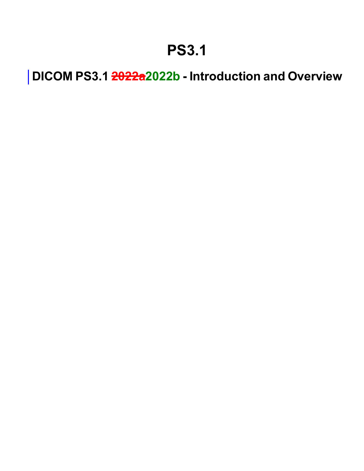## **PS3.1**

**DICOM PS3.1 2022a2022b - Introduction and Overview**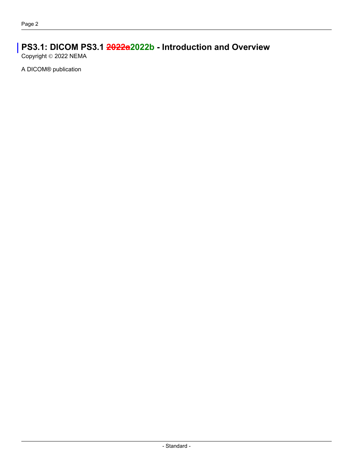### **PS3.1: DICOM PS3.1 2022a2022b - Introduction and Overview**

Copyright © 2022 NEMA

A DICOM® publication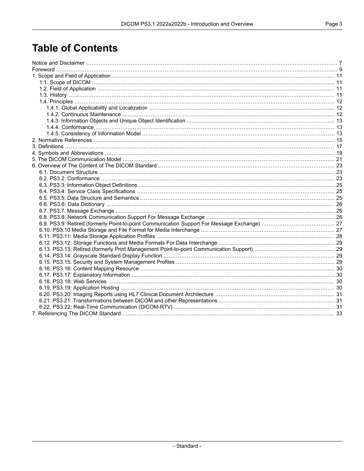## **Table of Contents**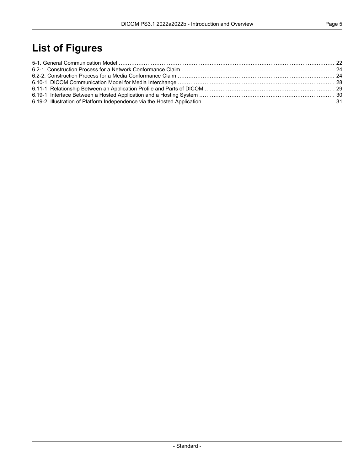## **List of Figures**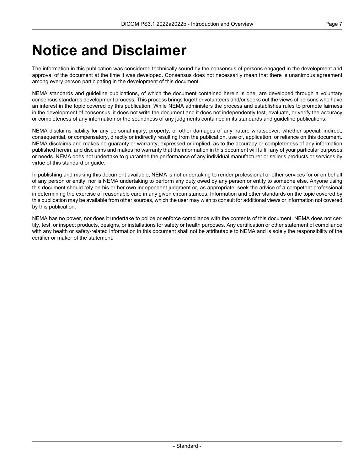## <span id="page-6-0"></span>**Notice and Disclaimer**

The information in this publication was considered technically sound by the consensus of persons engaged in the development and approval of the document at the time it was developed. Consensus does not necessarily mean that there is unanimous agreement among every person participating in the development of this document.

NEMA standards and guideline publications, of which the document contained herein is one, are developed through a voluntary consensus standards development process. This process brings together volunteers and/or seeks out the views of persons who have an interest in the topic covered by this publication. While NEMA administers the process and establishes rules to promote fairness in the development of consensus, it does not write the document and it does not independently test, evaluate, or verify the accuracy or completeness of any information or the soundness of any judgments contained in its standards and guideline publications.

NEMA disclaims liability for any personal injury, property, or other damages of any nature whatsoever, whether special, indirect, consequential, or compensatory, directly or indirectly resulting from the publication, use of, application, or reliance on this document. NEMA disclaims and makes no guaranty or warranty, expressed or implied, as to the accuracy or completeness of any information published herein, and disclaims and makes no warranty that the information in this document will fulfill any of your particular purposes or needs. NEMA does not undertake to guarantee the performance of any individual manufacturer or seller's products or services by virtue of this standard or guide.

In publishing and making this document available, NEMA is not undertaking to render professional or other services for or on behalf of any person or entity, nor is NEMA undertaking to perform any duty owed by any person or entity to someone else. Anyone using this document should rely on his or her own independent judgment or, as appropriate, seek the advice of a competent professional in determining the exercise of reasonable care in any given circumstances. Information and other standards on the topic covered by this publication may be available from other sources, which the user may wish to consult for additional views or information not covered by this publication.

NEMA has no power, nor does it undertake to police or enforce compliance with the contents of this document. NEMA does not cer tify, test, or inspect products, designs, or installations for safety or health purposes. Any certification or other statement of compliance with any health or safety-related information in this document shall not be attributable to NEMA and is solely the responsibility of the certifier or maker of the statement.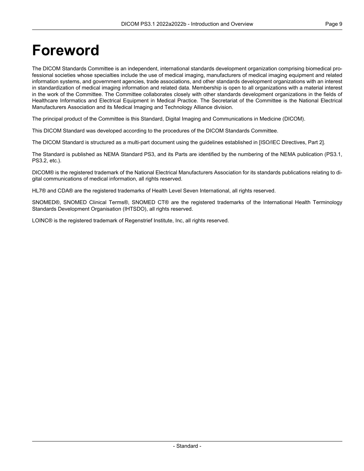## <span id="page-8-0"></span>**Foreword**

The DICOM Standards Committee is an independent, international standards development organization comprising biomedical pro fessional societies whose specialties include the use of medical imaging, manufacturers of medical imaging equipment and related information systems, and government agencies, trade associations, and other standards development organizations with an interest in standardization of medical imaging information and related data. Membership is open to all organizations with a material interest in the work of the Committee. The Committee collaborates closely with other standards development organizations in the fields of Healthcare Informatics and Electrical Equipment in Medical Practice. The Secretariat of the Committee is the National Electrical Manufacturers Association and its Medical Imaging and Technology Alliance division.

The principal product of the Committee is this Standard, Digital Imaging and Communications in Medicine (DICOM).

This DICOM Standard was developed according to the procedures of the DICOM Standards Committee.

The DICOM Standard is structured as a multi-part document using the guidelines established in [ISO/IEC [Directives,](#page-14-1) Part 2].

The Standard is published as NEMA Standard PS3, and its Parts are identified by the numbering of the NEMA publication (PS3.1, PS3.2, etc.).

DICOM® is the registered trademark of the National Electrical Manufacturers Association for its standards publications relating to di gital communications of medical information, all rights reserved.

HL7® and CDA® are the registered trademarks of Health Level Seven International, all rights reserved.

SNOMED®, SNOMED Clinical Terms®, SNOMED CT® are the registered trademarks of the International Health Terminology Standards Development Organisation (IHTSDO), all rights reserved.

LOINC® is the registered trademark of Regenstrief Institute, Inc, all rights reserved.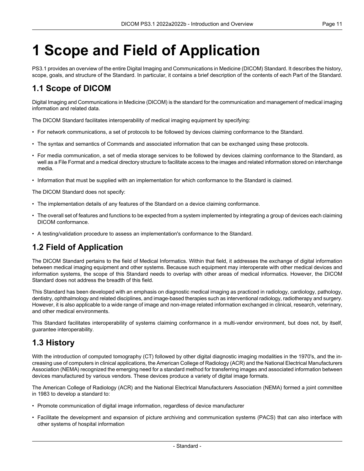# <span id="page-10-0"></span>**1 Scope and Field of Application**

<span id="page-10-1"></span>PS3.1 provides an overview of the entire Digital Imaging and Communications in Medicine (DICOM) Standard. It describes the history, scope, goals, and structure of the Standard. In particular, it contains a brief description of the contents of each Part of the Standard.

### **1.1 Scope of DICOM**

Digital Imaging and Communications in Medicine (DICOM) is the standard for the communication and management of medical imaging information and related data.

The DICOM Standard facilitates interoperability of medical imaging equipment by specifying:

- For network communications, a set of protocols to be followed by devices claiming conformance to the Standard.
- The syntax and semantics of Commands and associated information that can be exchanged using these protocols.
- For media communication, a set of media storage services to be followed by devices claiming conformance to the Standard, as well as a File Format and a medical directory structure to facilitate access to the images and related information stored on interchange media.
- Information that must be supplied with an implementation for which conformance to the Standard is claimed.

The DICOM Standard does not specify:

- The implementation details of any features of the Standard on a device claiming conformance.
- <span id="page-10-2"></span>• The overall set of features and functions to be expected from a system implemented by integrating a group of devices each claiming DICOM conformance.
- A testing/validation procedure to assess an implementation's conformance to the Standard.

### **1.2 Field of Application**

The DICOM Standard pertains to the field of Medical Informatics. Within that field, it addresses the exchange of digital information between medical imaging equipment and other systems. Because such equipment may interoperate with other medical devices and information systems, the scope of this Standard needs to overlap with other areas of medical informatics. However, the DICOM Standard does not address the breadth of this field.

<span id="page-10-3"></span>This Standard has been developed with an emphasis on diagnostic medical imaging as practiced in radiology, cardiology, pathology, dentistry, ophthalmology and related disciplines, and image-based therapies such as interventional radiology, radiotherapy and surgery. However, it is also applicable to a wide range of image and non-image related information exchanged in clinical, research, veterinary, and other medical environments.

This Standard facilitates interoperability of systems claiming conformance in a multi-vendor environment, but does not, by itself, guarantee interoperability.

### **1.3 History**

With the introduction of computed tomography (CT) followed by other digital diagnostic imaging modalities in the 1970's, and the in creasing use of computers in clinical applications, the American College of Radiology (ACR) and the National Electrical Manufacturers Association (NEMA) recognized the emerging need for a standard method for transferring images and associated information between devices manufactured by various vendors. These devices produce a variety of digital image formats.

The American College of Radiology (ACR) and the National Electrical Manufacturers Association (NEMA) formed a joint committee in 1983 to develop a standard to:

- Promote communication of digital image information, regardless of device manufacturer
- Facilitate the development and expansion of picture archiving and communication systems (PACS) that can also interface with other systems of hospital information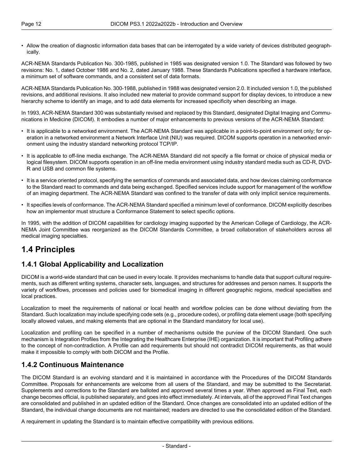• Allow the creation of diagnostic information data bases that can be interrogated by a wide variety of devices distributed geograph ically.

ACR-NEMA Standards Publication No. 300-1985, published in 1985 was designated version 1.0. The Standard was followed by two revisions: No. 1, dated October 1986 and No. 2, dated January 1988. These Standards Publications specified a hardware interface, a minimum set of software commands, and a consistent set of data formats.

ACR-NEMA Standards Publication No. 300-1988, published in 1988 was designated version 2.0. It included version 1.0, the published revisions, and additional revisions. It also included new material to provide command support for display devices, to introduce a new hierarchy scheme to identify an image, and to add data elements for increased specificity when describing an image.

In 1993, ACR-NEMA Standard 300 was substantially revised and replaced by this Standard, designated Digital Imaging and Commu nications in Medicine (DICOM). It embodies a number of major enhancements to previous versions of the ACR-NEMA Standard:

- It is applicable to a networked environment. The ACR-NEMA Standard was applicable in a point-to-point environment only; for op eration in a networked environment a Network Interface Unit (NIU) was required. DICOM supports operation in a networked envir onment using the industry standard networking protocol TCP/IP.
- It is applicable to off-line media exchange. The ACR-NEMA Standard did not specify a file format or choice of physical media or logical filesystem. DICOM supports operation in an off-line media environment using industry standard media such as CD-R, DVD- R and USB and common file systems.
- It is a service oriented protocol, specifying the semantics of commands and associated data, and how devices claiming conformance to the Standard react to commands and data being exchanged. Specified services include support for management of the workflow of an imaging department. The ACR-NEMA Standard was confined to the transfer of data with only implicit service requirements.
- It specifies levels of conformance. The ACR-NEMA Standard specified a minimum level of conformance. DICOM explicitly describes how an implementor must structure a Conformance Statement to select specific options.

<span id="page-11-1"></span><span id="page-11-0"></span>In 1995, with the addition of DICOM capabilities for cardiology imaging supported by the American College of Cardiology, the ACR- NEMA Joint Committee was reorganized as the DICOM Standards Committee, a broad collaboration of stakeholders across all medical imaging specialties.

### **1.4 Principles**

#### **1.4.1 Global Applicability and Localization**

DICOM is a world-wide standard that can be used in every locale. It provides mechanisms to handle data that support cultural require ments, such as different writing systems, character sets, languages, and structures for addresses and person names. It supports the variety of workflows, processes and policies used for biomedical imaging in different geographic regions, medical specialties and local practices.

Localization to meet the requirements of national or local health and workflow policies can be done without deviating from the Standard. Such localization may include specifying code sets (e.g., procedure codes), or profiling data element usage (both specifying locally allowed values, and making elements that are optional in the Standard mandatory for local use).

<span id="page-11-2"></span>Localization and profiling can be specified in a number of mechanisms outside the purview of the DICOM Standard. One such mechanism is Integration Profiles from the Integrating the Healthcare Enterprise (IHE) organization. It is important that Profiling adhere to the concept of non-contradiction. A Profile can add requirements but should not contradict DICOM requirements, as that would make it impossible to comply with both DICOM and the Profile.

#### **1.4.2 Continuous Maintenance**

The DICOM Standard is an evolving standard and it is maintained in accordance with the Procedures of the DICOM Standards Committee. Proposals for enhancements are welcome from all users of the Standard, and may be submitted to the Secretariat. Supplements and corrections to the Standard are balloted and approved several times a year. When approved as Final Text, each change becomes official, is published separately, and goes into effect immediately. At intervals, all of the approved Final Text changes are consolidated and published in an updated edition of the Standard. Once changes are consolidated into an updated edition of the Standard, the individual change documents are not maintained; readers are directed to use the consolidated edition of the Standard.

A requirement in updating the Standard is to maintain effective compatibility with previous editions.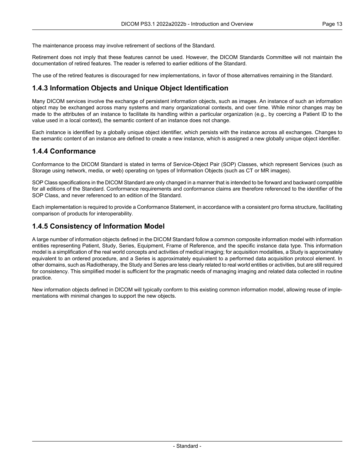The maintenance process may involve retirement of sections of the Standard.

Retirement does not imply that these features cannot be used. However, the DICOM Standards Committee will not maintain the documentation of retired features. The reader is referred to earlier editions of the Standard.

<span id="page-12-0"></span>The use of the retired features is discouraged for new implementations, in favor of those alternatives remaining in the Standard.

#### **1.4.3 Information Objects and Unique Object Identification**

Many DICOM services involve the exchange of persistent information objects, such as images. An instance of such an information object may be exchanged across many systems and many organizational contexts, and over time. While minor changes may be made to the attributes of an instance to facilitate its handling within a particular organization (e.g., by coercing a Patient ID to the value used in a local context), the semantic content of an instance does not change.

<span id="page-12-1"></span>Each instance is identified by a globally unique object identifier, which persists with the instance across all exchanges. Changes to the semantic content of an instance are defined to create a new instance, which is assigned a new globally unique object identifier.

#### **1.4.4 Conformance**

Conformance to the DICOM Standard is stated in terms of Service-Object Pair (SOP) Classes, which represent Services (such as Storage using network, media, or web) operating on types of Information Objects (such as CT or MR images).

SOP Class specifications in the DICOM Standard are only changed in a manner that is intended to be forward and backward compatible for all editions of the Standard. Conformance requirements and conformance claims are therefore referenced to the identifier of the SOP Class, and never referenced to an edition of the Standard.

<span id="page-12-2"></span>Each implementation is required to provide a Conformance Statement, in accordance with a consistent pro forma structure, facilitating comparison of products for interoperability.

#### **1.4.5 Consistency of Information Model**

A large number of information objects defined in the DICOM Standard follow a common composite information model with information entities representing Patient, Study, Series, Equipment, Frame of Reference, and the specific instance data type. This information model is a simplification of the real world concepts and activities of medical imaging; for acquisition modalities, a Study is approximately equivalent to an ordered procedure, and a Series is approximately equivalent to a performed data acquisition protocol element. In other domains, such as Radiotherapy, the Study and Series are less clearly related to real world entities or activities, but are still required for consistency. This simplified model is sufficient for the pragmatic needs of managing imaging and related data collected in routine practice.

New information objects defined in DICOM will typically conform to this existing common information model, allowing reuse of imple mentations with minimal changes to support the new objects.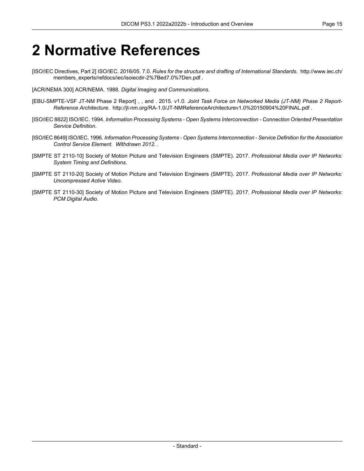## <span id="page-14-0"></span>**2 Normative References**

- <span id="page-14-1"></span>[ISO/IEC Directives, Part 2] ISO/IEC. 2016/05. 7.0. *Rules for the structure and drafting of International Standards*. [http://www.iec.ch/](http://www.iec.ch/members_experts/refdocs/iec/isoiecdir-2%7Bed7.0%7Den.pdf) [members\\_experts/refdocs/iec/isoiecdir-2%7Bed7.0%7Den.pdf](http://www.iec.ch/members_experts/refdocs/iec/isoiecdir-2%7Bed7.0%7Den.pdf) .
- <span id="page-14-2"></span>[ACR/NEMA 300] ACR/NEMA. 1988. *Digital Imaging and Communications*.
- [EBU-SMPTE-VSF JT-NM Phase 2 Report] , , and . 2015. v1.0. *Joint Task Force on Networked Media (JT-NM) Phase 2 Report- Reference Architecture*. <http://jt-nm.org/RA-1.0/JT-NMReferenceArchitecturev1.0%20150904%20FINAL.pdf> .
- [ISO/IEC 8822] ISO/IEC. 1994. *Information Processing Systems - Open Systems Interconnection - Connection Oriented Presentation Service Definition*.
- <span id="page-14-3"></span>[ISO/IEC 8649] ISO/IEC. 1996. *Information Processing Systems - Open Systems Interconnection - Service Definition for the Association Control Service Element*. *Withdrawn 2012.* .
- <span id="page-14-4"></span>[SMPTE ST 2110-10] Society of Motion Picture and Television Engineers (SMPTE). 2017. *Professional Media over IP Networks: System Timing and Definitions*.
- <span id="page-14-5"></span>[SMPTE ST 2110-20] Society of Motion Picture and Television Engineers (SMPTE). 2017. *Professional Media over IP Networks: Uncompressed Active Video*.
- [SMPTE ST 2110-30] Society of Motion Picture and Television Engineers (SMPTE). 2017. *Professional Media over IP Networks: PCM Digital Audio*.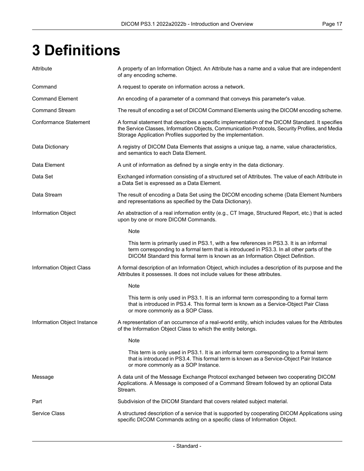# <span id="page-16-0"></span>**3 Definitions**

| Attribute                    | A property of an Information Object. An Attribute has a name and a value that are independent<br>of any encoding scheme.                                                                                                                                               |
|------------------------------|------------------------------------------------------------------------------------------------------------------------------------------------------------------------------------------------------------------------------------------------------------------------|
| Command                      | A request to operate on information across a network.                                                                                                                                                                                                                  |
| <b>Command Element</b>       | An encoding of a parameter of a command that conveys this parameter's value.                                                                                                                                                                                           |
| <b>Command Stream</b>        | The result of encoding a set of DICOM Command Elements using the DICOM encoding scheme.                                                                                                                                                                                |
| <b>Conformance Statement</b> | A formal statement that describes a specific implementation of the DICOM Standard. It specifies<br>the Service Classes, Information Objects, Communication Protocols, Security Profiles, and Media<br>Storage Application Profiles supported by the implementation.    |
| Data Dictionary              | A registry of DICOM Data Elements that assigns a unique tag, a name, value characteristics,<br>and semantics to each Data Element.                                                                                                                                     |
| Data Element                 | A unit of information as defined by a single entry in the data dictionary.                                                                                                                                                                                             |
| Data Set                     | Exchanged information consisting of a structured set of Attributes. The value of each Attribute in<br>a Data Set is expressed as a Data Element.                                                                                                                       |
| Data Stream                  | The result of encoding a Data Set using the DICOM encoding scheme (Data Element Numbers<br>and representations as specified by the Data Dictionary).                                                                                                                   |
| <b>Information Object</b>    | An abstraction of a real information entity (e.g., CT Image, Structured Report, etc.) that is acted<br>upon by one or more DICOM Commands.                                                                                                                             |
|                              | Note                                                                                                                                                                                                                                                                   |
|                              | This term is primarily used in PS3.1, with a few references in PS3.3. It is an informal<br>term corresponding to a formal term that is introduced in PS3.3. In all other parts of the<br>DICOM Standard this formal term is known as an Information Object Definition. |
| Information Object Class     | A formal description of an Information Object, which includes a description of its purpose and the<br>Attributes it possesses. It does not include values for these attributes.                                                                                        |
|                              | Note                                                                                                                                                                                                                                                                   |
|                              | This term is only used in PS3.1. It is an informal term corresponding to a formal term<br>that is introduced in PS3.4. This formal term is known as a Service-Object Pair Class<br>or more commonly as a SOP Class.                                                    |
| Information Object Instance  | A representation of an occurrence of a real-world entity, which includes values for the Attributes<br>of the Information Object Class to which the entity belongs.                                                                                                     |
|                              | Note                                                                                                                                                                                                                                                                   |
|                              | This term is only used in PS3.1. It is an informal term corresponding to a formal term<br>that is introduced in PS3.4. This formal term is known as a Service-Object Pair Instance<br>or more commonly as a SOP Instance.                                              |
| Message                      | A data unit of the Message Exchange Protocol exchanged between two cooperating DICOM<br>Applications. A Message is composed of a Command Stream followed by an optional Data<br>Stream.                                                                                |
| Part                         | Subdivision of the DICOM Standard that covers related subject material.                                                                                                                                                                                                |
| <b>Service Class</b>         | A structured description of a service that is supported by cooperating DICOM Applications using<br>specific DICOM Commands acting on a specific class of Information Object.                                                                                           |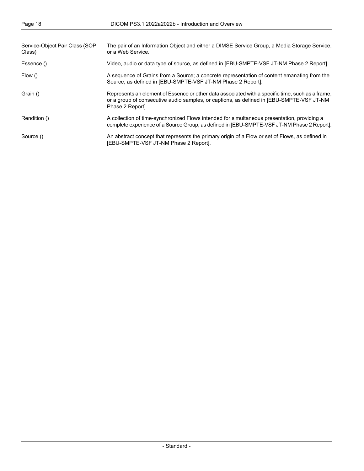| Service-Object Pair Class (SOP<br>Class) | The pair of an Information Object and either a DIMSE Service Group, a Media Storage Service,<br>or a Web Service.                                                                                               |
|------------------------------------------|-----------------------------------------------------------------------------------------------------------------------------------------------------------------------------------------------------------------|
| Essence ()                               | Video, audio or data type of source, as defined in [EBU-SMPTE-VSF JT-NM Phase 2 Report].                                                                                                                        |
| Flow ()                                  | A sequence of Grains from a Source; a concrete representation of content emanating from the<br>Source, as defined in [EBU-SMPTE-VSF JT-NM Phase 2 Report].                                                      |
| Grain ()                                 | Represents an element of Essence or other data associated with a specific time, such as a frame,<br>or a group of consecutive audio samples, or captions, as defined in [EBU-SMPTE-VSF JT-NM<br>Phase 2 Report. |
| Rendition ()                             | A collection of time-synchronized Flows intended for simultaneous presentation, providing a<br>complete experience of a Source Group, as defined in [EBU-SMPTE-VSF JT-NM Phase 2 Report].                       |
| Source ()                                | An abstract concept that represents the primary origin of a Flow or set of Flows, as defined in<br>[EBU-SMPTE-VSF JT-NM Phase 2 Report].                                                                        |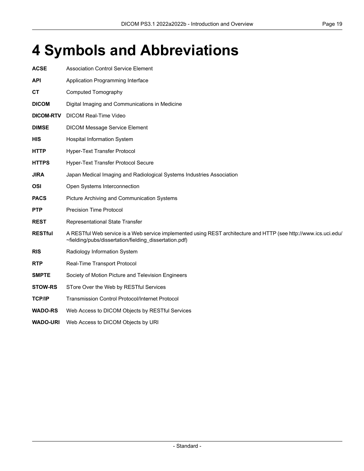## <span id="page-18-0"></span>**4 Symbols and Abbreviations**

| <b>ACSE</b>      | <b>Association Control Service Element</b>                                                                                                                                 |
|------------------|----------------------------------------------------------------------------------------------------------------------------------------------------------------------------|
| <b>API</b>       | Application Programming Interface                                                                                                                                          |
| <b>CT</b>        | <b>Computed Tomography</b>                                                                                                                                                 |
| <b>DICOM</b>     | Digital Imaging and Communications in Medicine                                                                                                                             |
| <b>DICOM-RTV</b> | <b>DICOM Real-Time Video</b>                                                                                                                                               |
| <b>DIMSE</b>     | <b>DICOM Message Service Element</b>                                                                                                                                       |
| <b>HIS</b>       | <b>Hospital Information System</b>                                                                                                                                         |
| <b>HTTP</b>      | Hyper-Text Transfer Protocol                                                                                                                                               |
| <b>HTTPS</b>     | Hyper-Text Transfer Protocol Secure                                                                                                                                        |
| <b>JIRA</b>      | Japan Medical Imaging and Radiological Systems Industries Association                                                                                                      |
| <b>OSI</b>       | Open Systems Interconnection                                                                                                                                               |
| <b>PACS</b>      | Picture Archiving and Communication Systems                                                                                                                                |
| <b>PTP</b>       | <b>Precision Time Protocol</b>                                                                                                                                             |
| <b>REST</b>      | Representational State Transfer                                                                                                                                            |
| <b>RESTful</b>   | A RESTful Web service is a Web service implemented using REST architecture and HTTP (see http://www.ics.uci.edu/<br>~fielding/pubs/dissertation/fielding_dissertation.pdf) |
| <b>RIS</b>       | Radiology Information System                                                                                                                                               |
| <b>RTP</b>       | Real-Time Transport Protocol                                                                                                                                               |
| <b>SMPTE</b>     | Society of Motion Picture and Television Engineers                                                                                                                         |
| <b>STOW-RS</b>   | STore Over the Web by RESTful Services                                                                                                                                     |
| <b>TCP/IP</b>    | <b>Transmission Control Protocol/Internet Protocol</b>                                                                                                                     |
| <b>WADO-RS</b>   | Web Access to DICOM Objects by RESTful Services                                                                                                                            |

**WADO-URI** Web Access to DICOM Objects by URI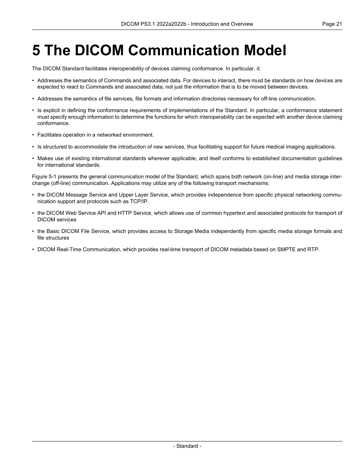## <span id="page-20-0"></span>**5 The DICOM Communication Model**

The DICOM Standard facilitates interoperability of devices claiming conformance. In particular, it:

- Addresses the semantics of Commands and associated data. For devices to interact, there must be standards on how devices are expected to react to Commands and associated data, not just the information that is to be moved between devices.
- Addresses the semantics of file services, file formats and information directories necessary for off-line communication.
- Is explicit in defining the conformance requirements of implementations of the Standard. In particular, a conformance statement must specify enough information to determine the functions for which interoperability can be expected with another device claiming conformance.
- Facilitates operation in a networked environment.
- Is structured to accommodate the introduction of new services, thus facilitating support for future medical imaging applications.
- Makes use of existing international standards wherever applicable, and itself conforms to established documentation guidelines for international standards.

[Figure](#page-21-0) 5-1 presents the general communication model of the Standard, which spans both network (on-line) and media storage inter change (off-line) communication. Applications may utilize any of the following transport mechanisms:

- the DICOM Message Service and Upper Layer Service, which provides independence from specific physical networking commu nication support and protocols such as TCP/IP.
- the DICOM Web Service API and HTTP Service, which allows use of common hypertext and associated protocols for transport of DICOM services
- the Basic DICOM File Service, which provides access to Storage Media independently from specific media storage formats and file structures
- DICOM Real-Time Communication, which provides real-time transport of DICOM metadata based on SMPTE and RTP.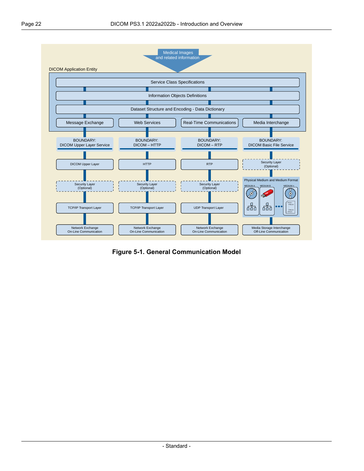<span id="page-21-0"></span>

**Figure 5-1. General Communication Model**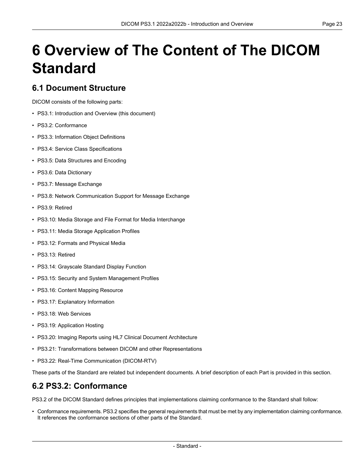# <span id="page-22-0"></span>**6 Overview of The Content of The DICOM Standard**

#### <span id="page-22-1"></span>**6.1 Document Structure**

DICOM consists of the following parts:

- PS3.1: Introduction and Overview (this document)
- PS3.2: [Conformance](part02.pdf#PS3.2)
- PS3.3: [Information](part03.pdf#PS3.3) Object Definitions
- PS3.4: Service Class [Specifications](part04.pdf#PS3.4)
- PS3.5: Data [Structures](part05.pdf#PS3.5) and Encoding
- PS3.6: Data [Dictionary](part06.pdf#PS3.6)
- PS3.7: Message [Exchange](part07.pdf#PS3.7)
- PS3.8: Network [Communication](part08.pdf#PS3.8) Support for Message Exchange
- PS3.9: Retired
- PS3.10: Media Storage and File Format for Media [Interchange](part10.pdf#PS3.10)
- PS3.11: Media Storage [Application](part11.pdf#PS3.11) Profiles
- PS3.12: Formats and [Physical](part12.pdf#PS3.12) Media
- PS3.13: Retired
- PS3.14: [Grayscale](part14.pdf#PS3.14) Standard Display Function
- PS3.15: Security and System [Management](part15.pdf#PS3.15) Profiles
- PS3.16: Content Mapping [Resource](part16.pdf#PS3.16)
- PS3.17: [Explanatory](part17.pdf#PS3.17) Information
- PS3.18: Web [Services](part18.pdf#PS3.18)
- PS3.19: [Application](part19.pdf#PS3.19) Hosting
- <span id="page-22-2"></span>• PS3.20: Imaging Reports using HL7 Clinical Document [Architecture](part20.pdf#PS3.20)
- PS3.21: Transformations between DICOM and other [Representations](part21.pdf#PS3.21)
- PS3.22: Real-Time [Communication](part22.pdf#PS3.22) (DICOM-RTV)

These parts of the Standard are related but independent documents. A brief description of each Part is provided in this section.

#### **6.2 PS3.2: Conformance**

[PS3.2](part02.pdf#PS3.2) of the DICOM Standard defines principles that implementations claiming conformance to the Standard shall follow:

• Conformance requirements. [PS3.2](part02.pdf#PS3.2) specifies the general requirements that must be met by any implementation claiming conformance. It references the conformance sections of other parts of the Standard.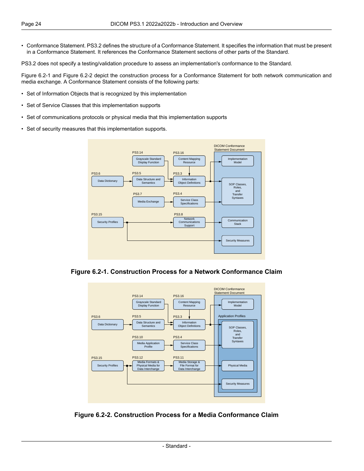• Conformance Statement. [PS3.2](part02.pdf#PS3.2) defines the structure of a Conformance Statement. It specifies the information that must be present in a Conformance Statement. It references the Conformance Statement sections of other parts of the Standard.

[PS3.2](part02.pdf#PS3.2) does not specify a testing/validation procedure to assess an implementation's conformance to the Standard.

[Figure](#page-23-0) 6.2-1 and [Figure](#page-23-1) 6.2-2 depict the construction process for a Conformance Statement for both network communication and media exchange. A Conformance Statement consists of the following parts:

- Set of Information Objects that is recognized by this implementation
- Set of Service Classes that this implementation supports
- Set of communications protocols or physical media that this implementation supports
- <span id="page-23-0"></span>• Set of security measures that this implementation supports.



<span id="page-23-1"></span>**Figure 6.2-1. Construction Process for a Network Conformance Claim**



**Figure 6.2-2. Construction Process for a Media Conformance Claim**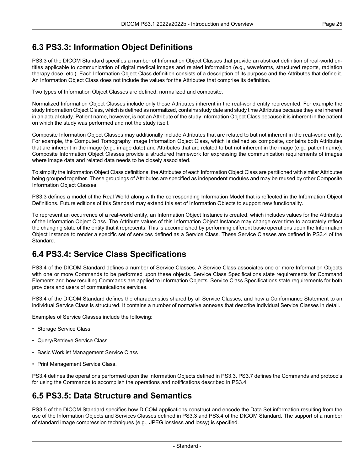### <span id="page-24-0"></span>**6.3 PS3.3: Information Object Definitions**

[PS3.3](part03.pdf#PS3.3) of the DICOM Standard specifies a number of Information Object Classes that provide an abstract definition of real-world en tities applicable to communication of digital medical images and related information (e.g., waveforms, structured reports, radiation therapy dose, etc.). Each Information Object Class definition consists of a description of its purpose and the Attributes that define it. An Information Object Class does not include the values for the Attributes that comprise its definition.

Two types of Information Object Classes are defined: normalized and composite.

Normalized Information Object Classes include only those Attributes inherent in the real-world entity represented. For example the study Information Object Class, which is defined as normalized, contains study date and study time Attributes because they are inherent in an actual study. Patient name, however, is not an Attribute of the study Information Object Class because it is inherent in the patient on which the study was performed and not the study itself.

Composite Information Object Classes may additionally include Attributes that are related to but not inherent in the real-world entity. For example, the Computed Tomography Image Information Object Class, which is defined as composite, contains both Attributes that are inherent in the image (e.g., image date) and Attributes that are related to but not inherent in the image (e.g., patient name). Composite Information Object Classes provide a structured framework for expressing the communication requirements of images where image data and related data needs to be closely associated.

To simplify the Information Object Class definitions, the Attributes of each Information Object Class are partitioned with similar Attributes being grouped together. These groupings of Attributes are specified as independent modules and may be reused by other Composite Information Object Classes.

[PS3.3](part03.pdf#PS3.3) defines a model of the Real World along with the corresponding Information Model that is reflected in the Information Object Definitions. Future editions of this Standard may extend this set of Information Objects to support new functionality.

<span id="page-24-1"></span>To represent an occurrence of a real-world entity, an Information Object Instance is created, which includes values for the Attributes of the Information Object Class. The Attribute values of this Information Object Instance may change over time to accurately reflect the changing state of the entity that it represents. This is accomplished by performing different basic operations upon the Information Object Instance to render a specific set of services defined as a Service Class. These Service Classes are defined in [PS3.4](part04.pdf#PS3.4) of the Standard.

### **6.4 PS3.4: Service Class Specifications**

[PS3.4](part04.pdf#PS3.4) of the DICOM Standard defines a number of Service Classes. A Service Class associates one or more Information Objects with one or more Commands to be performed upon these objects. Service Class Specifications state requirements for Command Elements and how resulting Commands are applied to Information Objects. Service Class Specifications state requirements for both providers and users of communications services.

[PS3.4](part04.pdf#PS3.4) of the DICOM Standard defines the characteristics shared by all Service Classes, and how a Conformance Statement to an individual Service Class is structured. It contains a number of normative annexes that describe individual Service Classes in detail.

Examples of Service Classes include the following:

- Storage Service Class
- Query/Retrieve Service Class
- <span id="page-24-2"></span>• Basic Worklist Management Service Class
- Print Management Service Class.

[PS3.4](part04.pdf#PS3.4) defines the operations performed upon the Information Objects defined in [PS3.3.](part03.pdf#PS3.3) [PS3.7](part07.pdf#PS3.7) defines the Commands and protocols for using the Commands to accomplish the operations and notifications described in [PS3.4](part04.pdf#PS3.4).

### **6.5 PS3.5: Data Structure and Semantics**

[PS3.5](part05.pdf#PS3.5) of the DICOM Standard specifies how DICOM applications construct and encode the Data Set information resulting from the use of the Information Objects and Services Classes defined in [PS3.3](part03.pdf#PS3.3) and [PS3.4](part04.pdf#PS3.4) of the DICOM Standard. The support of a number of standard image compression techniques (e.g., JPEG lossless and lossy) is specified.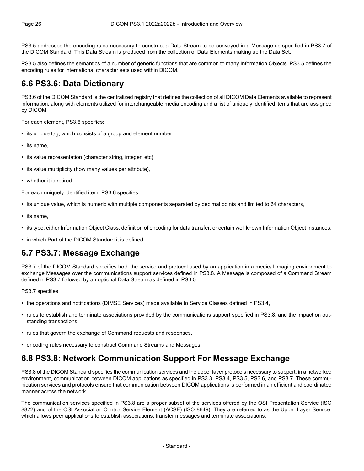[PS3.5](part05.pdf#PS3.5) addresses the encoding rules necessary to construct a Data Stream to be conveyed in a Message as specified in [PS3.7](part07.pdf#PS3.7) of the DICOM Standard. This Data Stream is produced from the collection of Data Elements making up the Data Set.

<span id="page-25-0"></span>[PS3.5](part05.pdf#PS3.5) also defines the semantics of a number of generic functions that are common to many Information Objects. [PS3.5](part05.pdf#PS3.5) defines the encoding rules for international character sets used within DICOM.

#### **6.6 PS3.6: Data Dictionary**

[PS3.6](part06.pdf#PS3.6) of the DICOM Standard is the centralized registry that defines the collection of all DICOM Data Elements available to represent information, along with elements utilized for interchangeable media encoding and a list of uniquely identified items that are assigned by DICOM.

For each element, [PS3.6](part06.pdf#PS3.6) specifies:

- its unique tag, which consists of a group and element number,
- its name,
- its value representation (character string, integer, etc),
- its value multiplicity (how many values per attribute),
- whether it is retired.

For each uniquely identified item, [PS3.6](part06.pdf#PS3.6) specifies:

- its unique value, which is numeric with multiple components separated by decimal points and limited to 64 characters,
- its name,
- <span id="page-25-1"></span>• its type, either Information Object Class, definition of encoding for data transfer, or certain well known Information Object Instances,
- in which Part of the DICOM Standard it is defined.

#### **6.7 PS3.7: Message Exchange**

[PS3.7](part07.pdf#PS3.7) of the DICOM Standard specifies both the service and protocol used by an application in a medical imaging environment to exchange Messages over the communications support services defined in [PS3.8.](part08.pdf#PS3.8) A Message is composed of a Command Stream defined in [PS3.7](part07.pdf#PS3.7) followed by an optional Data Stream as defined in [PS3.5](part05.pdf#PS3.5).

[PS3.7](part07.pdf#PS3.7) specifies:

- the operations and notifications (DIMSE Services) made available to Service Classes defined in [PS3.4,](part04.pdf#PS3.4)
- <span id="page-25-2"></span>• rules to establish and terminate associations provided by the communications support specified in [PS3.8,](part08.pdf#PS3.8) and the impact on out standing transactions,
- rules that govern the exchange of Command requests and responses,
- encoding rules necessary to construct Command Streams and Messages.

#### **6.8 PS3.8: Network Communication Support For Message Exchange**

[PS3.8](part08.pdf#PS3.8) of the DICOM Standard specifies the communication services and the upper layer protocols necessary to support, in a networked environment, communication between DICOM applications as specified in [PS3.3](part03.pdf#PS3.3), [PS3.4,](part04.pdf#PS3.4) [PS3.5](part05.pdf#PS3.5), [PS3.6,](part06.pdf#PS3.6) and [PS3.7.](part07.pdf#PS3.7) These commu nication services and protocols ensure that communication between DICOM applications is performed in an efficient and coordinated manner across the network.

The communication services specified in [PS3.8](part08.pdf#PS3.8) are a proper subset of the services offered by the OSI Presentation Service (ISO 8822) and of the OSI Association Control Service Element (ACSE) (ISO 8649). They are referred to as the Upper Layer Service, which allows peer applications to establish associations, transfer messages and terminate associations.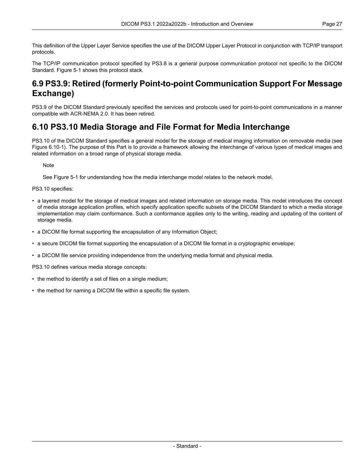This definition of the Upper Layer Service specifies the use of the DICOM Upper Layer Protocol in conjunction with TCP/IP transport protocols.

<span id="page-26-0"></span>The TCP/IP communication protocol specified by [PS3.8](part08.pdf#PS3.8) is a general purpose communication protocol not specific to the DICOM Standard. [Figure](#page-21-0) 5-1 shows this protocol stack.

### **6.9 PS3.9: Retired (formerly Point-to-point Communication Support For Message Exchange)**

<span id="page-26-1"></span>PS3.9 of the DICOM Standard previously specified the services and protocols used for point-to-point communications in a manner compatible with ACR-NEMA 2.0. It has been retired.

#### **6.10 PS3.10 Media Storage and File Format for Media Interchange**

[PS3.10](part10.pdf#PS3.10) of the DICOM Standard specifies a general model for the storage of medical imaging information on removable media (see Figure [6.10-1\)](#page-27-1). The purpose of this Part is to provide a framework allowing the interchange of various types of medical images and related information on a broad range of physical storage media.

**Note** 

See [Figure](#page-21-0) 5-1 for understanding how the media interchange model relates to the network model.

[PS3.10](part10.pdf#PS3.10) specifies:

- a layered model for the storage of medical images and related information on storage media. This model introduces the concept of media storage application profiles, which specify application specific subsets of the DICOM Standard to which a media storage implementation may claim conformance. Such a conformance applies only to the writing, reading and updating of the content of storage media.
- a DICOM file format supporting the encapsulation of any Information Object;
- a secure DICOM file format supporting the encapsulation of a DICOM file format in a cryptographic envelope;
- a DICOM file service providing independence from the underlying media format and physical media.

[PS3.10](part10.pdf#PS3.10) defines various media storage concepts:

- the method to identify a set of files on a single medium;
- the method for naming a DICOM file within a specific file system.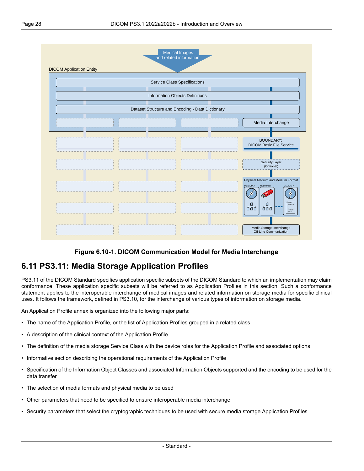<span id="page-27-1"></span>

#### **Figure 6.10-1. DICOM Communication Model for Media Interchange**

#### <span id="page-27-0"></span>**6.11 PS3.11: Media Storage Application Profiles**

[PS3.11](part11.pdf#PS3.11) of the DICOM Standard specifies application specific subsets of the DICOM Standard to which an implementation may claim conformance. These application specific subsets will be referred to as Application Profiles in this section. Such a conformance statement applies to the interoperable interchange of medical images and related information on storage media for specific clinical uses. It follows the framework, defined in [PS3.10](part10.pdf#PS3.10), for the interchange of various types of information on storage media.

An Application Profile annex is organized into the following major parts:

- The name of the Application Profile, or the list of Application Profiles grouped in a related class
- A description of the clinical context of the Application Profile
- The definition of the media storage Service Class with the device roles for the Application Profile and associated options
- Informative section describing the operational requirements of the Application Profile
- Specification of the Information Object Classes and associated Information Objects supported and the encoding to be used for the data transfer
- The selection of media formats and physical media to be used
- Other parameters that need to be specified to ensure interoperable media interchange
- Security parameters that select the cryptographic techniques to be used with secure media storage Application Profiles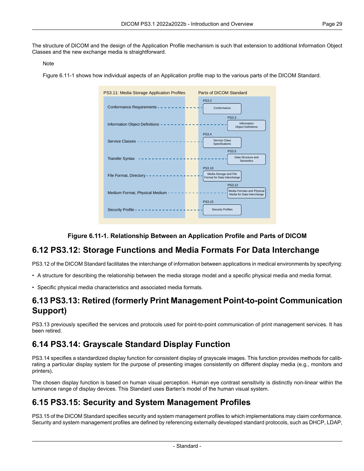The structure of DICOM and the design of the Application Profile mechanism is such that extension to additional Information Object Classes and the new exchange media is straightforward.

#### Note

<span id="page-28-4"></span>[Figure](#page-28-4) 6.11-1 shows how individual aspects of an Application profile map to the various parts of the DICOM Standard.



#### **Figure 6.11-1. Relationship Between an Application Profile and Parts of DICOM**

#### <span id="page-28-0"></span>**6.12 PS3.12: Storage Functions and Media Formats For Data Interchange**

<span id="page-28-1"></span>[PS3.12](part12.pdf#PS3.12) of the DICOM Standard facilitates the interchange of information between applications in medical environments by specifying:

- A structure for describing the relationship between the media storage model and a specific physical media and media format.
- Specific physical media characteristics and associated media formats.

#### <span id="page-28-2"></span>**6.13 PS3.13: Retired (formerly Print Management Point-to-point Communication Support)**

PS3.13 previously specified the services and protocols used for point-to-point communication of print management services. It has been retired.

### **6.14 PS3.14: Grayscale Standard Display Function**

<span id="page-28-3"></span>[PS3.14](part14.pdf#PS3.14) specifies a standardized display function for consistent display of grayscale images. This function provides methods for calib rating a particular display system for the purpose of presenting images consistently on different display media (e.g., monitors and printers).

The chosen display function is based on human visual perception. Human eye contrast sensitivity is distinctly non-linear within the luminance range of display devices. This Standard uses Barten's model of the human visual system.

### **6.15 PS3.15: Security and System Management Profiles**

[PS3.15](part15.pdf#PS3.15) of the DICOM Standard specifies security and system management profiles to which implementations may claim conformance. Security and system management profiles are defined by referencing externally developed standard protocols, such as DHCP, LDAP,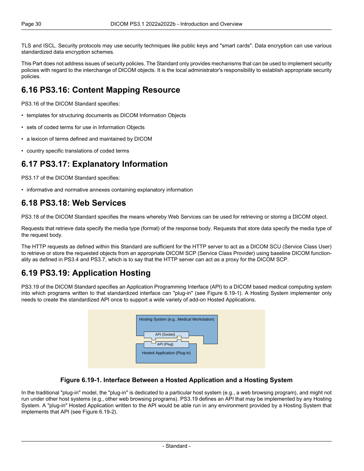TLS and ISCL. Security protocols may use security techniques like public keys and "smart cards". Data encryption can use various standardized data encryption schemes.

<span id="page-29-0"></span>This Part does not address issues of security policies. The Standard only provides mechanisms that can be used to implement security policies with regard to the interchange of DICOM objects. It is the local administrator's responsibility to establish appropriate security policies.

### **6.16 PS3.16: Content Mapping Resource**

[PS3.16](part16.pdf#PS3.16) of the DICOM Standard specifies:

- templates for structuring documents as DICOM Information Objects
- sets of coded terms for use in Information Objects
- <span id="page-29-1"></span>• a lexicon of terms defined and maintained by DICOM
- country specific translations of coded terms

#### **6.17 PS3.17: Explanatory Information**

<span id="page-29-2"></span>[PS3.17](part17.pdf#PS3.17) of the DICOM Standard specifies:

• informative and normative annexes containing explanatory information

#### **6.18 PS3.18: Web Services**

[PS3.18](part18.pdf#PS3.18) of the DICOM Standard specifies the means whereby Web Services can be used for retrieving or storing a DICOM object.

Requests that retrieve data specify the media type (format) of the response body. Requests that store data specify the media type of the request body.

<span id="page-29-3"></span>The HTTP requests as defined within this Standard are sufficient for the HTTP server to act as a DICOM SCU (Service Class User) to retrieve or store the requested objects from an appropriate DICOM SCP (Service Class Provider) using baseline DICOM function ality as defined in [PS3.4](part04.pdf#PS3.4) and [PS3.7,](part07.pdf#PS3.7) which is to say that the HTTP server can act as a proxy for the DICOM SCP.

### **6.19 PS3.19: Application Hosting**

<span id="page-29-4"></span>[PS3.19](part19.pdf#PS3.19) of the DICOM Standard specifies an Application Programming Interface (API) to a DICOM based medical computing system into which programs written to that standardized interface can "plug-in" (see [Figure](#page-29-4) 6.19-1). A Hosting System implementer only needs to create the standardized API once to support a wide variety of add-on Hosted Applications.

| Hosting System (e.g., Medical Workstation)                 |  |
|------------------------------------------------------------|--|
| API (Socket)<br>API (Plug)<br>Hosted Application (Plug-in) |  |
|                                                            |  |

#### **Figure 6.19-1. Interface Between a Hosted Application and a Hosting System**

In the traditional "plug-in" model, the "plug-in" is dedicated to a particular host system (e.g., a web browsing program), and might not run under other host systems (e.g., other web browsing programs). [PS3.19](part19.pdf#PS3.19) defines an API that may be implemented by any Hosting System. A "plug-in" Hosted Application written to the API would be able run in any environment provided by a Hosting System that implements that API (see [Figure](#page-30-3) 6.19-2).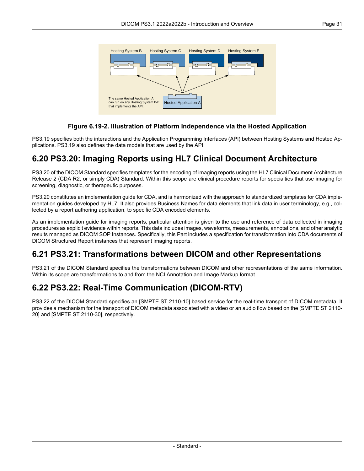<span id="page-30-3"></span>

#### **Figure 6.19-2. Illustration of Platform Independence via the Hosted Application**

<span id="page-30-0"></span>[PS3.19](part19.pdf#PS3.19) specifies both the interactions and the Application Programming Interfaces (API) between Hosting Systems and Hosted Ap plications. [PS3.19](part19.pdf#PS3.19) also defines the data models that are used by the API.

#### **6.20 PS3.20: Imaging Reports using HL7 Clinical Document Architecture**

[PS3.20](part20.pdf#PS3.20) of the DICOM Standard specifies templates for the encoding of imaging reports using the HL7 Clinical Document Architecture Release 2 (CDA R2, or simply CDA) Standard. Within this scope are clinical procedure reports for specialties that use imaging for screening, diagnostic, or therapeutic purposes.

[PS3.20](part20.pdf#PS3.20) constitutes an implementation guide for CDA, and is harmonized with the approach to standardized templates for CDA imple mentation guides developed by HL7. It also provides Business Names for data elements that link data in user terminology, e.g., col lected by a report authoring application, to specific CDA encoded elements.

<span id="page-30-1"></span>As an implementation guide for imaging reports, particular attention is given to the use and reference of data collected in imaging procedures as explicit evidence within reports. This data includes images, waveforms, measurements, annotations, and other analytic results managed as DICOM SOP Instances. Specifically, this Part includes a specification for transformation into CDA documents of DICOM Structured Report instances that represent imaging reports.

### <span id="page-30-2"></span>**6.21 PS3.21: Transformations between DICOM and other Representations**

[PS3.21](part21.pdf#PS3.21) of the DICOM Standard specifies the transformations between DICOM and other representations of the same information. Within its scope are transformations to and from the NCI Annotation and Image Markup format.

### **6.22 PS3.22: Real-Time Communication (DICOM-RTV)**

[PS3.22](part22.pdf#PS3.22) of the DICOM Standard specifies an [SMPTE ST [2110-10\]](#page-14-3) based service for the real-time transport of DICOM metadata. It provides a mechanism for the transport of DICOM metadata associated with a video or an audio flow based on the [\[SMPTE](#page-14-4) ST 2110- [20\]](#page-14-4) and [SMPTE ST [2110-30\],](#page-14-5) respectively.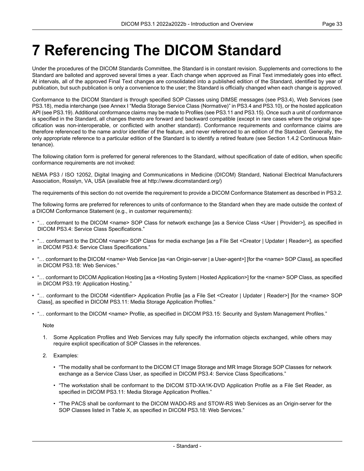# <span id="page-32-0"></span>**7 Referencing The DICOM Standard**

Under the procedures of the DICOM Standards Committee, the Standard is in constant revision. Supplements and corrections to the Standard are balloted and approved several times a year. Each change when approved as Final Text immediately goes into effect. At intervals, all of the approved Final Text changes are consolidated into a published edition of the Standard, identified by year of publication, but such publication is only a convenience to the user; the Standard is officially changed when each change is approved.

Conformance to the DICOM Standard is through specified SOP Classes using DIMSE messages (see [PS3.4](part04.pdf#PS3.4)), Web Services (see [PS3.18](part18.pdf#PS3.18)), media interchange (see Annex I "Media Storage Service Class [\(Normative\)"](part04.pdf#chapter_I) in PS3.4 and [PS3.10\)](part10.pdf#PS3.10), or the hosted application API (see [PS3.19\)](part19.pdf#PS3.19). Additional conformance claims may be made to Profiles (see [PS3.11](part11.pdf#PS3.11) and [PS3.15](part15.pdf#PS3.15)). Once such a unit of conformance is specified in the Standard, all changes thereto are forward and backward compatible (except in rare cases where the original spe cification was non-interoperable, or conflicted with another standard). Conformance requirements and conformance claims are therefore referenced to the name and/or identifier of the feature, and never referenced to an edition of the Standard. Generally, the only appropriate reference to a particular edition of the Standard is to identify a retired feature (see Section 1.4.2 [Continuous](#page-11-2) Main [tenance](#page-11-2)).

The following citation form is preferred for general references to the Standard, without specification of date of edition, when specific conformance requirements are not invoked:

NEMA PS3 / ISO 12052, Digital Imaging and Communications in Medicine (DICOM) Standard, National Electrical Manufacturers Association, Rosslyn, VA, USA (available free at <http://www.dicomstandard.org/>)

The requirements of this section do not override the requirement to provide a DICOM Conformance Statement as described in [PS3.2.](part02.pdf#PS3.2)

The following forms are preferred for references to units of conformance to the Standard when they are made outside the context of a DICOM Conformance Statement (e.g., in customer requirements):

- "… conformant to the DICOM <name> SOP Class for network exchange [as a Service Class <User | Provider>], as specified in DICOM [PS3.4:](part04.pdf#PS3.4) Service Class Specifications."
- "… conformant to the DICOM <name> SOP Class for media exchange [as a File Set <Creator | Updater | Reader>], as specified in DICOM [PS3.4](part04.pdf#PS3.4): Service Class Specifications."
- "... conformant to the DICOM <name> Web Service [as <an Origin-server | a User-agent>] [for the <name> SOP Class], as specified in DICOM [PS3.18](part18.pdf#PS3.18): Web Services."
- "… conformant to DICOM Application Hosting [as a <Hosting System | Hosted Application>] for the <name> SOP Class, as specified in DICOM [PS3.19](part19.pdf#PS3.19): Application Hosting."
- "… conformant to the DICOM <identifier> Application Profile [as a File Set <Creator | Updater | Reader>] [for the <name> SOP Class], as specified in DICOM [PS3.11](part11.pdf#PS3.11): Media Storage Application Profiles."
- "… conformant to the DICOM <name> Profile, as specified in DICOM [PS3.15:](part15.pdf#PS3.15) Security and System Management Profiles."

**Note** 

- 1. Some Application Profiles and Web Services may fully specify the information objects exchanged, while others may require explicit specification of SOP Classes in the references.
- 2. Examples:
	- "The modality shall be conformant to the DICOM CT Image Storage and MR Image Storage SOP Classes for network exchange as a Service Class User, as specified in DICOM [PS3.4:](part04.pdf#PS3.4) Service Class Specifications."
	- "The workstation shall be conformant to the DICOM STD-XA1K-DVD Application Profile as a File Set Reader, as specified in DICOM [PS3.11](part11.pdf#PS3.11): Media Storage Application Profiles."
	- "The PACS shall be conformant to the DICOM WADO-RS and STOW-RS Web Services as an Origin-server for the SOP Classes listed in Table X, as specified in DICOM [PS3.18](part18.pdf#PS3.18): Web Services."